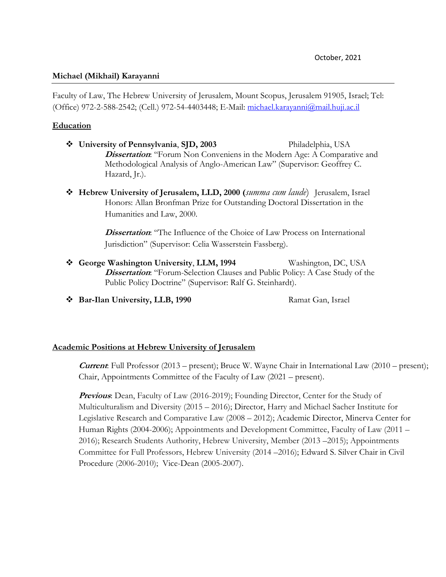#### **Michael (Mikhail) Karayanni**

Faculty of Law, The Hebrew University of Jerusalem, Mount Scopus, Jerusalem 91905, Israel; Tel: (Office) 972-2-588-2542; (Cell.) 972-54-4403448; E-Mail: [michael.karayanni@mail.huji.ac.il](mailto:michael.karayanni@mail.huji.ac.il)

#### **Education**

- ❖ **University of Pennsylvania**, **SJD, 2003** Philadelphia, USA **Dissertation:** "Forum Non Conveniens in the Modern Age: A Comparative and Methodological Analysis of Anglo-American Law" (Supervisor: Geoffrey C. Hazard, Jr.).
- ❖ **Hebrew University of Jerusalem, LLD, 2000 (***summa cum laude*) Jerusalem, Israel Honors: Allan Bronfman Prize for Outstanding Doctoral Dissertation in the Humanities and Law, 2000.

**Dissertation:** "The Influence of the Choice of Law Process on International Jurisdiction" (Supervisor: Celia Wasserstein Fassberg).

- ❖ **George Washington University**, **LLM, 1994** Washington, DC, USA **Dissertation**: "Forum-Selection Clauses and Public Policy: A Case Study of the Public Policy Doctrine" (Supervisor: Ralf G. Steinhardt).
- ◆ Bar-Ilan University, LLB, 1990 Ramat Gan, Israel

#### **Academic Positions at Hebrew University of Jerusalem**

**Current**: Full Professor (2013 – present); Bruce W. Wayne Chair in International Law (2010 – present); Chair, Appointments Committee of the Faculty of Law (2021 – present).

**Previous**: Dean, Faculty of Law (2016-2019); Founding Director, Center for the Study of Multiculturalism and Diversity (2015 – 2016); Director, Harry and Michael Sacher Institute for Legislative Research and Comparative Law (2008 – 2012); Academic Director, Minerva Center for Human Rights (2004-2006); Appointments and Development Committee, Faculty of Law (2011 – 2016); Research Students Authority, Hebrew University, Member (2013 –2015); Appointments Committee for Full Professors, Hebrew University (2014 –2016); Edward S. Silver Chair in Civil Procedure (2006-2010); Vice-Dean (2005-2007).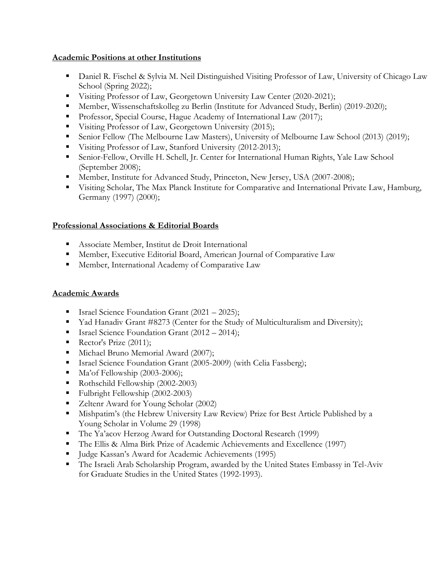## **Academic Positions at other Institutions**

- **Daniel R. Fischel & Sylvia M. Neil Distinguished Visiting Professor of Law, University of Chicago Law** School (Spring 2022);
- Visiting Professor of Law, Georgetown University Law Center (2020-2021);
- Member, Wissenschaftskolleg zu Berlin (Institute for Advanced Study, Berlin) (2019-2020);
- Professor, Special Course, Hague Academy of International Law (2017);
- Visiting Professor of Law, Georgetown University (2015);
- Senior Fellow (The Melbourne Law Masters), University of Melbourne Law School (2013) (2019);
- Visiting Professor of Law, Stanford University (2012-2013);
- Senior-Fellow, Orville H. Schell, Jr. Center for International Human Rights, Yale Law School (September 2008);
- Member, Institute for Advanced Study, Princeton, New Jersey, USA (2007-2008);
- Visiting Scholar, The Max Planck Institute for Comparative and International Private Law, Hamburg, Germany (1997) (2000);

# **Professional Associations & Editorial Boards**

- Associate Member, Institut de Droit International
- **EXECUTER:** Member, Executive Editorial Board, American Journal of Comparative Law
- Member, International Academy of Comparative Law

# **Academic Awards**

- Israel Science Foundation Grant (2021 2025);
- Yad Hanadiv Grant #8273 (Center for the Study of Multiculturalism and Diversity);
- Israel Science Foundation Grant (2012 2014);
- Rector's Prize (2011);
- Michael Bruno Memorial Award (2007);
- Israel Science Foundation Grant (2005-2009) (with Celia Fassberg);
- $\blacksquare$  Ma'of Fellowship (2003-2006);
- Rothschild Fellowship (2002-2003)
- Fulbright Fellowship (2002-2003)
- Zeltenr Award for Young Scholar (2002)
- Mishpatim's (the Hebrew University Law Review) Prize for Best Article Published by a Young Scholar in Volume 29 (1998)
- The Ya'acov Herzog Award for Outstanding Doctoral Research (1999)
- The Ellis & Alma Birk Prize of Academic Achievements and Excellence (1997)
- Judge Kassan's Award for Academic Achievements (1995)
- The Israeli Arab Scholarship Program, awarded by the United States Embassy in Tel-Aviv for Graduate Studies in the United States (1992-1993).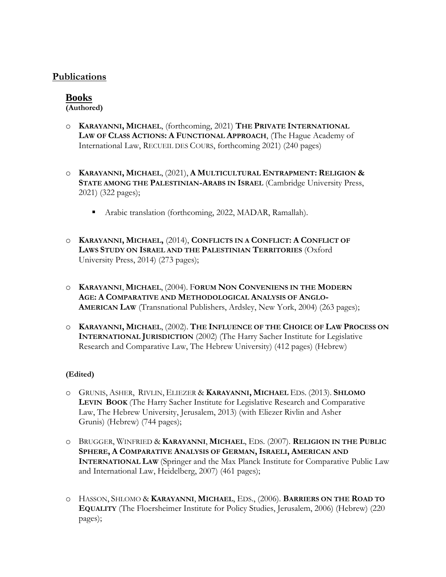# **Publications**

# **Books**

**(Authored)**

- o **KARAYANNI, MICHAEL**, (forthcoming, 2021) **THE PRIVATE INTERNATIONAL LAW OF CLASS ACTIONS: A FUNCTIONAL APPROACH**, (The Hague Academy of International Law, RECUEIL DES COURS, forthcoming 2021) (240 pages)
- o **KARAYANNI, MICHAEL**, (2021), **A MULTICULTURAL ENTRAPMENT: RELIGION & STATE AMONG THE PALESTINIAN-ARABS IN ISRAEL** (Cambridge University Press, 2021) (322 pages);
	- Arabic translation (forthcoming, 2022, MADAR, Ramallah).
- o **KARAYANNI, MICHAEL,** (2014), **CONFLICTS IN A CONFLICT: A CONFLICT OF LAWS STUDY ON ISRAEL AND THE PALESTINIAN TERRITORIES** (Oxford University Press, 2014) (273 pages);
- o **KARAYANNI**, **MICHAEL**, (2004). F**ORUM NON CONVENIENS IN THE MODERN AGE: A COMPARATIVE AND METHODOLOGICAL ANALYSIS OF ANGLO-AMERICAN LAW** (Transnational Publishers, Ardsley, New York, 2004) (263 pages);
- o **KARAYANNI, MICHAEL**, (2002). **THE INFLUENCE OF THE CHOICE OF LAW PROCESS ON INTERNATIONAL JURISDICTION** (2002) (The Harry Sacher Institute for Legislative Research and Comparative Law, The Hebrew University) (412 pages) (Hebrew)

## **(Edited)**

- o GRUNIS, ASHER, RIVLIN, ELIEZER & **KARAYANNI, MICHAEL** EDS. (2013). **SHLOMO LEVIN BOOK** (The Harry Sacher Institute for Legislative Research and Comparative Law, The Hebrew University, Jerusalem, 2013) (with Eliezer Rivlin and Asher Grunis) (Hebrew) (744 pages);
- o BRUGGER, WINFRIED & **KARAYANNI**, **MICHAEL**, EDS. (2007). **RELIGION IN THE PUBLIC SPHERE, A COMPARATIVE ANALYSIS OF GERMAN, ISRAELI, AMERICAN AND INTERNATIONAL LAW** (Springer and the Max Planck Institute for Comparative Public Law and International Law, Heidelberg, 2007) (461 pages);
- o HASSON, SHLOMO & **KARAYANNI**, **MICHAEL**, EDS., (2006). **BARRIERS ON THE ROAD TO EQUALITY** (The Floersheimer Institute for Policy Studies, Jerusalem, 2006) (Hebrew) (220 pages);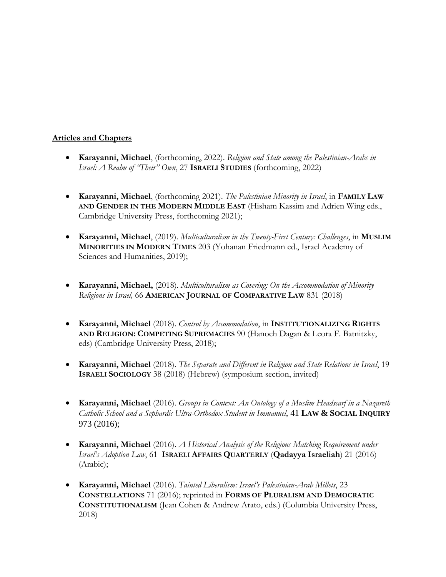## **Articles and Chapters**

- **Karayanni, Michael**, (forthcoming, 2022). *Religion and State among the Palestinian-Arabs in Israel: A Realm of "Their" Own*, 27 **ISRAELI STUDIES** (forthcoming, 2022)
- **Karayanni, Michael**, (forthcoming 2021). *The Palestinian Minority in Israel*, in **FAMILY LAW AND GENDER IN THE MODERN MIDDLE EAST** (Hisham Kassim and Adrien Wing eds., Cambridge University Press, forthcoming 2021);
- **Karayanni, Michael**, (2019). *Multiculturalism in the Twenty-First Century: Challenges*, in **MUSLIM MINORITIES IN MODERN TIMES** 203 (Yohanan Friedmann ed., Israel Academy of Sciences and Humanities, 2019);
- **Karayanni, Michael,** (2018). *Multiculturalism as Covering: On the Accommodation of Minority Religions in Israel,* 66 **AMERICAN JOURNAL OF COMPARATIVE LAW** 831 (2018)
- **Karayanni, Michael** (2018). *Control by Accommodation*, in **INSTITUTIONALIZING RIGHTS AND RELIGION: COMPETING SUPREMACIES** 90 (Hanoch Dagan & Leora F. Batnitzky, eds) (Cambridge University Press, 2018);
- **Karayanni, Michael** (2018). *The Separate and Different in Religion and State Relations in Israel*, 19 **ISRAELI SOCIOLOGY** 38 (2018) (Hebrew) (symposium section, invited)
- **Karayanni, Michael** (2016). *Groups in Context: An Ontology of a Muslim Headscarf in a Nazareth Catholic School and a Sephardic Ultra-Orthodox Student in Immanuel*, 41 **LAW & SOCIAL INQUIRY** 973 (2016);
- **Karayanni, Michael** (2016)**.** *A Historical Analysis of the Religious Matching Requirement under Israel's Adoption Law*, 61 **ISRAELI AFFAIRS QUARTERLY** (**Qadayya Israeliah**) 21 (2016) (Arabic);
- **Karayanni, Michael** (2016). *Tainted Liberalism: Israel's Palestinian-Arab Millets*, 23 **CONSTELLATIONS** 71 (2016); reprinted in **FORMS OF PLURALISM AND DEMOCRATIC CONSTITUTIONALISM** (Jean Cohen & Andrew Arato, eds.) (Columbia University Press, 2018)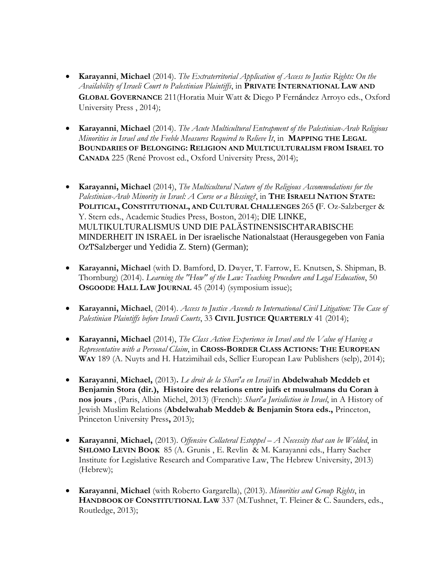- **Karayanni**, **Michael** (2014). *The Extraterritorial Application of Access to Justice Rights: On the Availability of Israeli Court to Palestinian Plaintiffs*, in **PRIVATE INTERNATIONAL LAW AND GLOBAL GOVERNANCE** 211(Horatia Muir Watt & Diego P Fernández Arroyo eds., Oxford University Press , 2014);
- **Karayanni**, **Michael** (2014). *The Acute Multicultural Entrapment of the Palestinian-Arab Religious Minorities in Israel and the Feeble Measures Required to Relieve It*, in **MAPPING THE LEGAL BOUNDARIES OF BELONGING: RELIGION AND MULTICULTURALISM FROM ISRAEL TO CANADA** 225 (René Provost ed., Oxford University Press, 2014);
- **Karayanni, Michael** (2014), *The Multicultural Nature of the Religious Accommodations for the Palestinian-Arab Minority in Israel: A Curse or a Blessing?*, in **THE ISRAELI NATION STATE: POLITICAL, CONSTITUTIONAL, AND CULTURAL CHALLENGES** 265 **(**F. Oz-Salzberger & Y. Stern eds., Academic Studies Press, Boston, 2014); DIE LINKE, MULTIKULTURALISMUS UND DIE PALÄSTINENSISCHͲARABISCHE MINDERHEIT IN ISRAEL in Der israelische Nationalstaat (Herausgegeben von Fania OzͲSalzberger und Yedidia Z. Stern) (German);
- **Karayanni, Michael** (with D. Bamford, D. Dwyer, T. Farrow, E. Knutsen, S. Shipman, B. Thornburg) (2014). *Learning the "How" of the Law: Teaching Procedure and Legal Education*, 50 **OSGOODE HALL LAW JOURNAL** 45 (2014) (symposium issue);
- **Karayanni, Michael**, (2014). *Access to Justice Ascends to International Civil Litigation: The Case of Palestinian Plaintiffs before Israeli Courts*, 33 **CIVIL JUSTICE QUARTERLY** 41 (2014);
- **Karayanni, Michael** (2014), *The Class Action Experience in Israel and the Value of Having a Representative with a Personal Claim*, in **CROSS-BORDER CLASS ACTIONS: THE EUROPEAN WAY** 189 (A. Nuyts and H. Hatzimihail eds, Sellier European Law Publishers (selp), 2014);
- **Karayanni**, **Michael,** (2013)**.** *Le droit de la Shari'a en Israël* in **Abdelwahab Meddeb et Benjamin Stora (dir.), Histoire des relations entre juifs et musulmans du Coran à nos jours** , (Paris, Albin Michel, 2013) (French): *Shari'a Jurisdiction in Israel*, in A History of Jewish Muslim Relations (**Abdelwahab Meddeb & Benjamin Stora eds.,** Princeton, Princeton University Press**,** 2013);
- **Karayanni**, **Michael,** (2013). *Offensive Collateral Estoppel – A Necessity that can be Welded*, in **SHLOMO LEVIN BOOK** 85 (A. Grunis , E. Revlin & M. Karayanni eds., Harry Sacher Institute for Legislative Research and Comparative Law, The Hebrew University, 2013) (Hebrew);
- **Karayanni**, **Michael** (with Roberto Gargarella), (2013). *Minorities and Group Rights*, in **HANDBOOK OF CONSTITUTIONAL LAW** 337 (M.Tushnet, T. Fleiner & C. Saunders, eds., Routledge, 2013);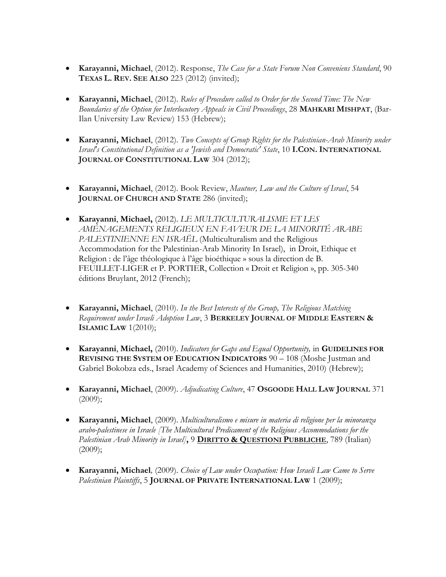- **Karayanni, Michael**, (2012). Response, *The Case for a State Forum Non Conveniens Standard*, 90 **TEXAS L. REV. SEE ALSO** 223 (2012) (invited);
- **Karayanni, Michael**, (2012). *Rules of Procedure called to Order for the Second Time: The New Boundaries of the Option for Interlocutory Appeals in Civil Proceedings*, 28 **MAHKARI MISHPAT**, (Bar-Ilan University Law Review) 153 (Hebrew);
- **Karayanni, Michael**, (2012). *Two Concepts of Group Rights for the Palestinian-Arab Minority under Israel's Constitutional Definition as a 'Jewish and Democratic' State*, 10 **I.CON. INTERNATIONAL JOURNAL OF CONSTITUTIONAL LAW** 304 (2012);
- **Karayanni, Michael**, (2012). Book Review, *Mautner, Law and the Culture of Israel*, 54 **JOURNAL OF CHURCH AND STATE** 286 (invited);
- **Karayanni**, **Michael,** (2012). *LE MULTICULTURALISME ET LES AMÉNAGEMENTS RELIGIEUX EN FAVEUR DE LA MINORITÉ ARABE PALESTINIENNE EN ISRAËL* (Multiculturalism and the Religious Accommodation for the Palestinian-Arab Minority In Israel), in Droit, Ethique et Religion : de l'âge théologique à l'âge bioéthique » sous la direction de B. FEUILLET-LIGER et P. PORTIER, Collection « Droit et Religion », pp. 305-340 éditions Bruylant, 2012 (French);
- **Karayanni, Michael**, (2010). *In the Best Interests of the Group, The Religious Matching Requirement under Israeli Adoption Law*, 3 **BERKELEY JOURNAL OF MIDDLE EASTERN & ISLAMIC LAW** 1(2010);
- **Karayanni**, **Michael,** (2010). *Indicators for Gaps and Equal Opportunity,* in **GUIDELINES FOR REVISING THE SYSTEM OF EDUCATION INDICATORS** 90 – 108 (Moshe Justman and Gabriel Bokobza eds., Israel Academy of Sciences and Humanities, 2010) (Hebrew);
- **Karayanni, Michael**, (2009). *Adjudicating Culture*, 47 **OSGOODE HALL LAW JOURNAL** 371  $(2009);$
- **Karayanni, Michael**, (2009). *Multiculturalismo e misure in materia di religione per la minoranza arabo-palestinese in Israele [The Multicultural Predicament of the Religious Accommodations for the Palestinian Arab Minority in Israel]***,** 9 **DIRITTO & QUESTIONI PUBBLICHE**, 789 (Italian)  $(2009)$ ;
- **Karayanni, Michael***,* (2009). *Choice of Law under Occupation: How Israeli Law Came to Serve Palestinian Plaintiffs*, 5 **JOURNAL OF PRIVATE INTERNATIONAL LAW** 1 (2009);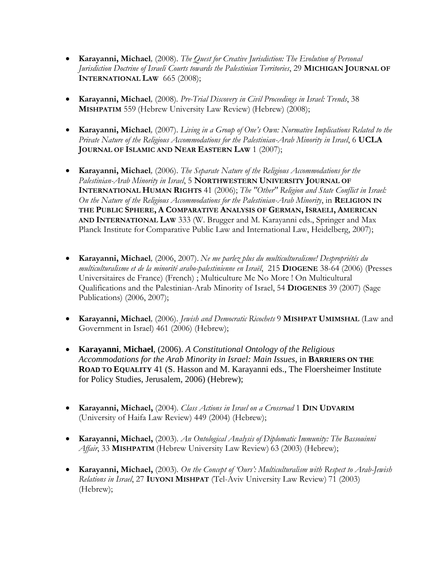- **Karayanni, Michael***,* (2008). *The Quest for Creative Jurisdiction: The Evolution of Personal Jurisdiction Doctrine of Israeli Courts towards the Palestinian Territories*, 29 **MICHIGAN JOURNAL OF INTERNATIONAL LAW** 665 (2008);
- **Karayanni, Michael***,* (2008)*. Pre-Trial Discovery in Civil Proceedings in Israel: Trends*, 38 **MISHPATIM** 559 (Hebrew University Law Review) (Hebrew) (2008);
- **Karayanni, Michael***,* (2007). *Living in a Group of One's Own: Normative Implications Related to the Private Nature of the Religious Accommodations for the Palestinian-Arab Minority in Israel*, 6 **UCLA JOURNAL OF ISLAMIC AND NEAR EASTERN LAW** 1 (2007);
- **Karayanni, Michael***,* (2006). *The Separate Nature of the Religious Accommodations for the Palestinian-Arab Minority in Israel*, 5 **NORTHWESTERN UNIVERSITY JOURNAL OF INTERNATIONAL HUMAN RIGHTS** 41 (2006); *The "Other" Religion and State Conflict in Israel: On the Nature of the Religious Accommodations for the Palestinian-Arab Minority*, in **RELIGION IN THE PUBLIC SPHERE, A COMPARATIVE ANALYSIS OF GERMAN, ISRAELI, AMERICAN AND INTERNATIONAL LAW** 333 (W. Brugger and M. Karayanni eds., Springer and Max Planck Institute for Comparative Public Law and International Law, Heidelberg, 2007);
- **Karayanni, Michael***,* (2006, 2007). *Ne me parlez plus du multiculturalisme! Despropriétés du multiculturalisme et de la minorité arabo-palestinienne en Israël*, 215 **DIOGENE** 38-64 (2006) (Presses Universitaires de France) (French) ; Multiculture Me No More ! On Multicultural Qualifications and the Palestinian-Arab Minority of Israel, 54 **DIOGENES** 39 (2007) (Sage Publications) (2006, 2007);
- **Karayanni, Michael***,* (2006). *Jewish and Democratic Ricochets* 9 **MISHPAT UMIMSHAL** (Law and Government in Israel) 461 (2006) (Hebrew);
- **Karayanni**, **Michael***,* (2006). *A Constitutional Ontology of the Religious Accommodations for the Arab Minority in Israel: Main Issues*, in **BARRIERS ON THE ROAD TO EQUALITY** 41 (S. Hasson and M. Karayanni eds., The Floersheimer Institute for Policy Studies, Jerusalem, 2006) (Hebrew);
- **Karayanni, Michael,** (2004)*. Class Actions in Israel on a Crossroad* 1 **DIN UDVARIM** (University of Haifa Law Review) 449 (2004) (Hebrew);
- **Karayanni, Michael,** (2003)*. An Ontological Analysis of Diplomatic Immunity: The Bassouinni Affair*, 33 **MISHPATIM** (Hebrew University Law Review) 63 (2003) (Hebrew);
- **Karayanni, Michael,** (2003)*. On the Concept of 'Ours': Multiculturalism with Respect to Arab-Jewish Relations in Israel*, 27 **IUYONI MISHPAT** (Tel-Aviv University Law Review) 71 (2003) (Hebrew);